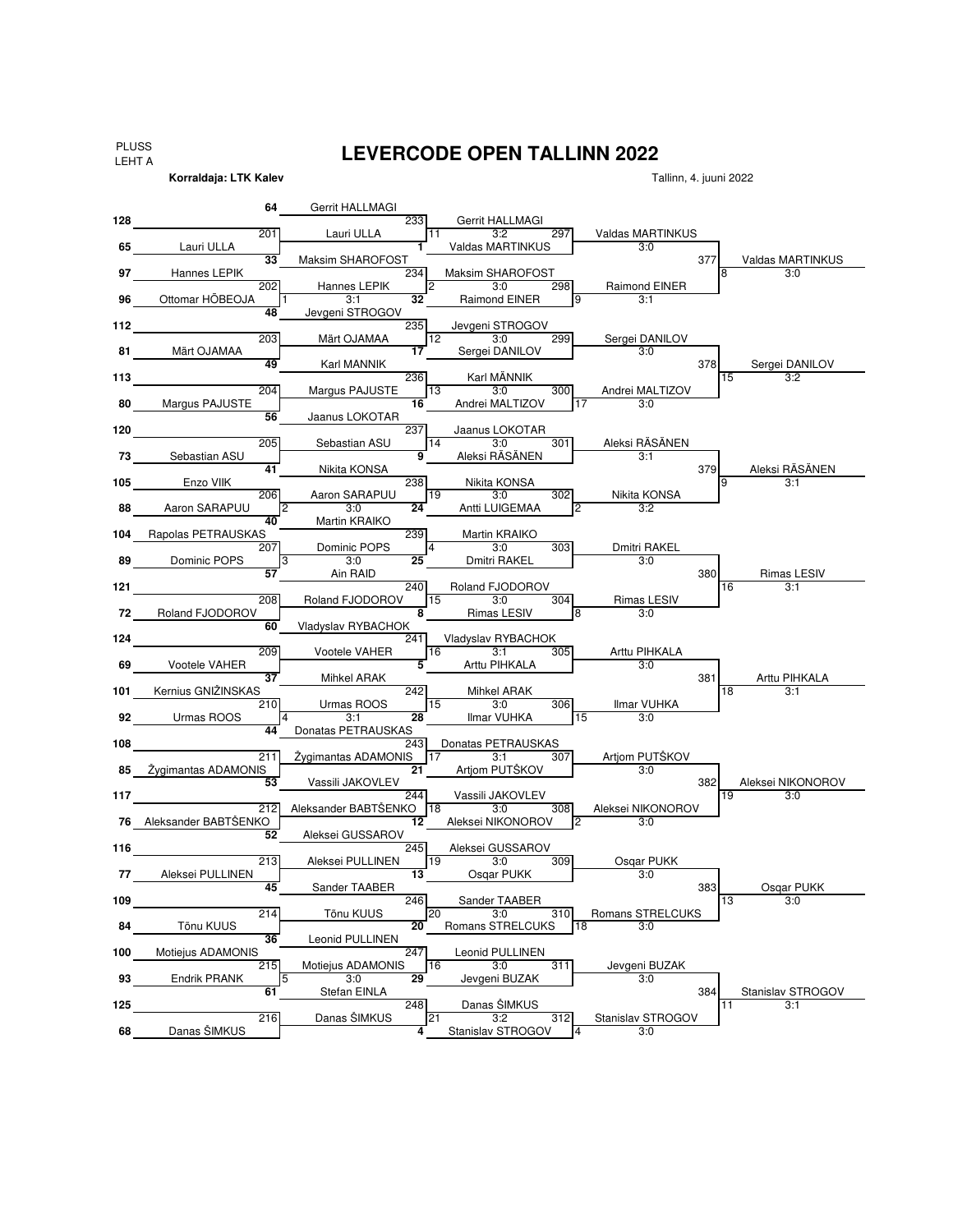PLUSS LEHT A

**Korraldaja: LTK Kalev**

## **LEVERCODE OPEN TALLINN 2022**

**64 128** 233 201 11 3:2 297 Lauri ULLA **65** w.o. **1** 3:0 Valdas MARTINKUS **33** Maksim SHAROFOST **And Struck and Struck and Struck and Struck and Struck and Struck and Struck and Struck and Struck and Struck and Struck and Struck and Struck and Struck and Struck and Struck and Struck and Struck a 97** Bannes LEPIK **1989 12:00 Maksim SHAROFOST** 23:00 Maksim SHAROFOST 23:00 Maksim SHAROFOST 23:00 Maksim SHAROFOST 202 Hannes LEPIK 2 3:0 298 **96** 1 3:1 **32** 9 3:1 Ottomar HÕBEOJA **48 112** 235 203 12 3:0 299 Märt OJAMAA **81** w.o. **17** 3:0 Sergei DANILOV **49** 378 Karl MÄNNIK **113** 236 15 3:2 204 Margus PAJUSTE 13 3:0 300 **80** Margus PAJUSTE **Telecial Contract of the Andrei MALTIZOV** TO 3:0 **56 120** 237 205 14 3:0 301 Sebastian ASU **73** Sebastian ASU **Termine Constructed Based Based Based Based Based Based Based Based Based Based Based Based 41** 379 Nikita KONSA **105** 238 9 3:1 206 19 3:0 302 Aaron SARAPUU **88** 2 3:0 **24** 2 3:2 Aaron SARAPUU **40 104** 239 Rapolas PETRAUSKAS 207 4 3:0 303 Dominic POPS **89** 3 3:0 **25** 3:0 Dmitri RAKEL **57 Ain RAID 380 121 121 121 121 121 121 121 121 121 121 121 121 121 121 121 121 121** 208 Roland FJODOROV 15 3:0 304 **72** Roland FJODOROV **CONSIDENT RESOURDER BY A 8** 8 Rimas LESIV **8** 3:0 **60 124** 241 209 16 3:1 305 Vootele VAHER **69** Vootele VAHER **Telesius Constant Constant Constant Constant Constant Constant Constant Constant Constant Const 37** 381 Mihkel ARAK **101** 242 18 3:1 Kernius GNIŽINSKAS 210 Urmas ROOS 15 3:0 306 **92** 4 3:1 **28** 15 3:0 Urmas ROOS **44 108** 243 211 Žygimantas ADAMONIS 17 3:1 307 **85** w.o. **21** 3:0 Žygimantas ADAMONIS **53** 382 Vassili JAKOVLEV **117** 2004 117 3:0 212 Aleksander BABTSENKO 18 3:0 308 **76** Aleksander BABTŠENKO **in 12 Aleksei NIKONOROV** 2 3:0 **52 116** 245 213 Aleksei PULLINEN 19 3:0 309 **77** w.o. **13** 3:0 Aleksei PULLINEN **45** 383 Sander TAABER **109** 200 200 200 200 200 246 **13** 3:0 214 20 3:0 310 Tõnu KUUS **84** Tõnu KUUS **18 3:0 20** Romans STRELCUKS 18 3:0 **36 100** 247 Motiejus ADAMONIS 215 Motiejus ADAMONIS | 16 3:0 311 **93** Endrik PRANK 5 3:0 29 Jevgeni BUZAK 5:0 **61** 384 Stefan EINLA **125** 248 11 3:1 Danas ŠIMKUS 216 21 3:2 312 Danas ŠIMKUS **68** Danas SIMKUS | Carrier Community Austrian Austrian American According Austrian Austrian According Austrian Martin KRAIKO Jaanus LOKOTAR Osqar PUKK Donatas PETRAUSKAS Stanislav STROGOV Sebastian ASU Enzo VIIK Osqar PUKK Jaanus LOKOTAR Dmitri RAKEL Aleksi RÄSÄNEN Valdas MARTINKUS Raimond EINER Valdas MARTINKUS Sergei DANILOV Sergei DANILOV Gerrit HALLMÄGI Jevgeni STROGOV Aleksi RÄSÄNEN Rimas LESIV Arttu PIHKALA Aleksei NIKONOROV Dominic POPS Lauri ULLA Hannes LEPIK Märt OJAMAA Tõnu KUUS Endrik PRANK Danas ŠIMKUS Aleksei GUSSAROV Vladyslav RYBACHOK Leonid PULLINEN Martin KRAIKO Gerrit HALLMÄGI Jevgeni STROGOV Raimond EINER Karl MÄNNIK Andrei MALTIZOV Andrei MALTIZOV Nikita KONSA Nikita KONSA Antti LUIGEMAA Arttu PIHKALA Arttu PIHKALA Mihkel ARAK Ilmar VUHKA Rimas LESIV Vladyslav RYBACHOK Rimas LESIV Aleksei NIKONOROV Aleksei NIKONOROV Aleksei GUSSAROV<br>3:0 309 Ilmar VUHKA Donatas PETRAUSKAS Artjom PUTŠKOV Artjom PUTŠKOV Leonid PULLINEN Jevgeni BUZAK Osqar PUKK Romans STRELCUKS Stanislav STROGOV

Tallinn, 4. juuni 2022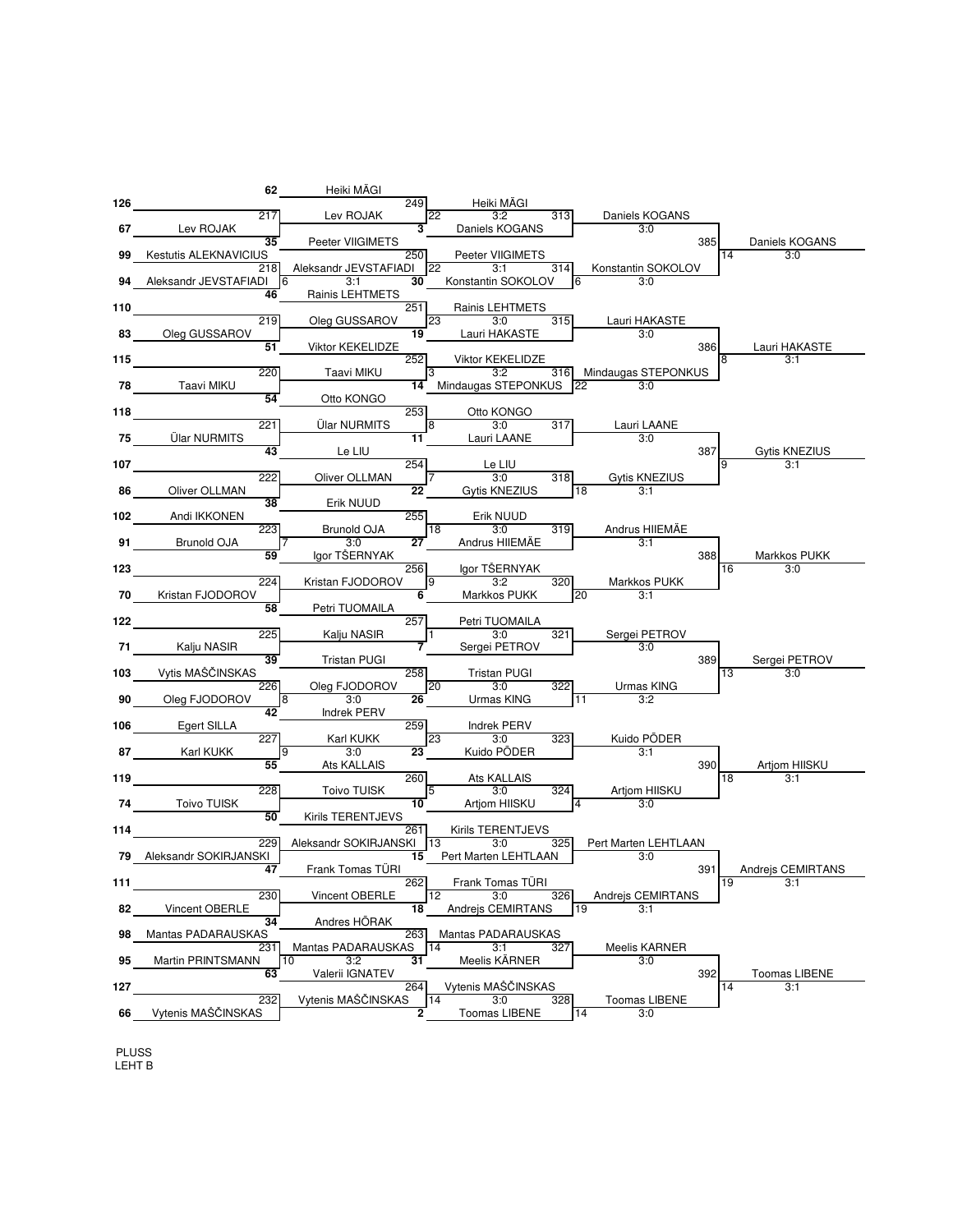

LEHT B PLUSS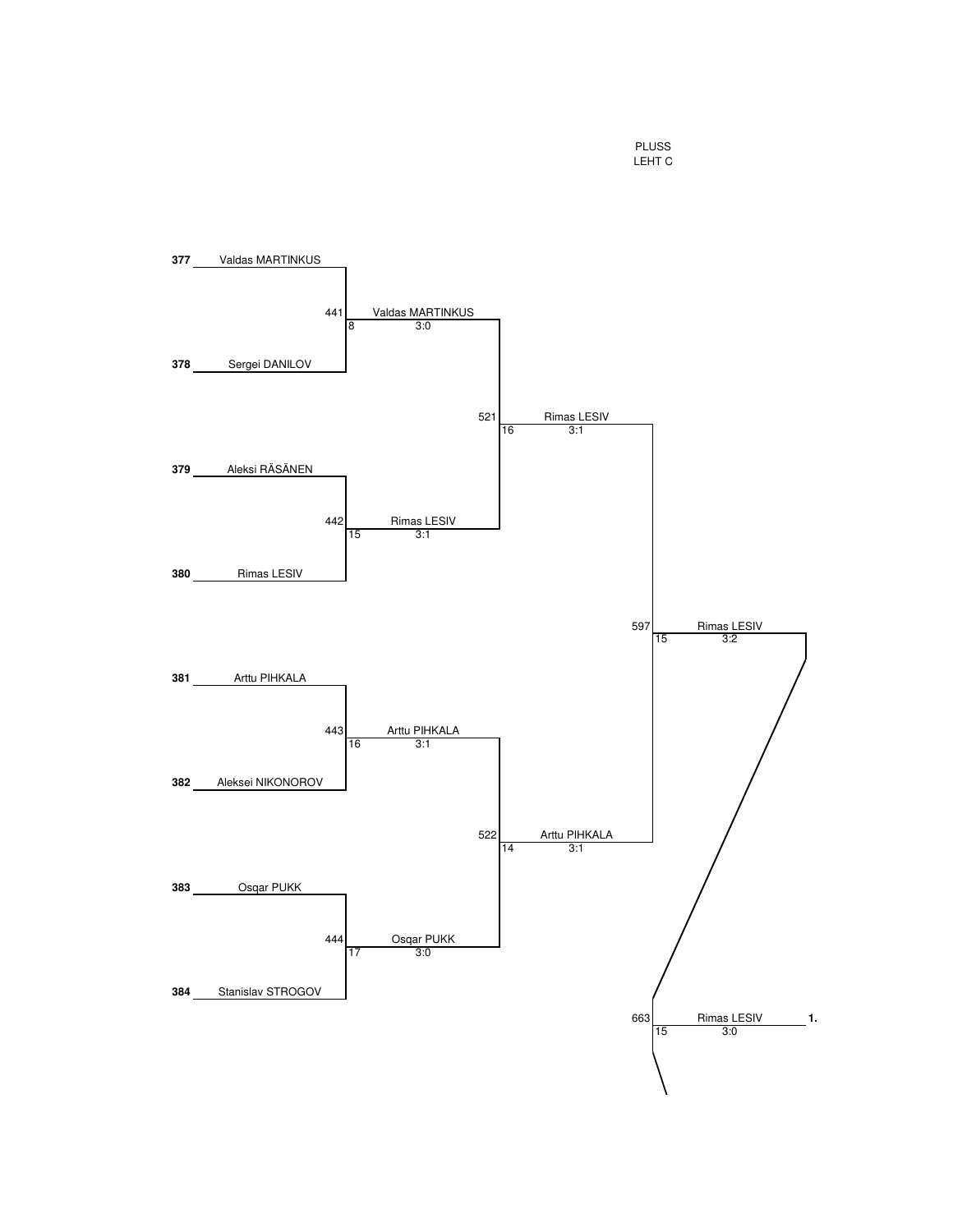PLUSS LEHT C

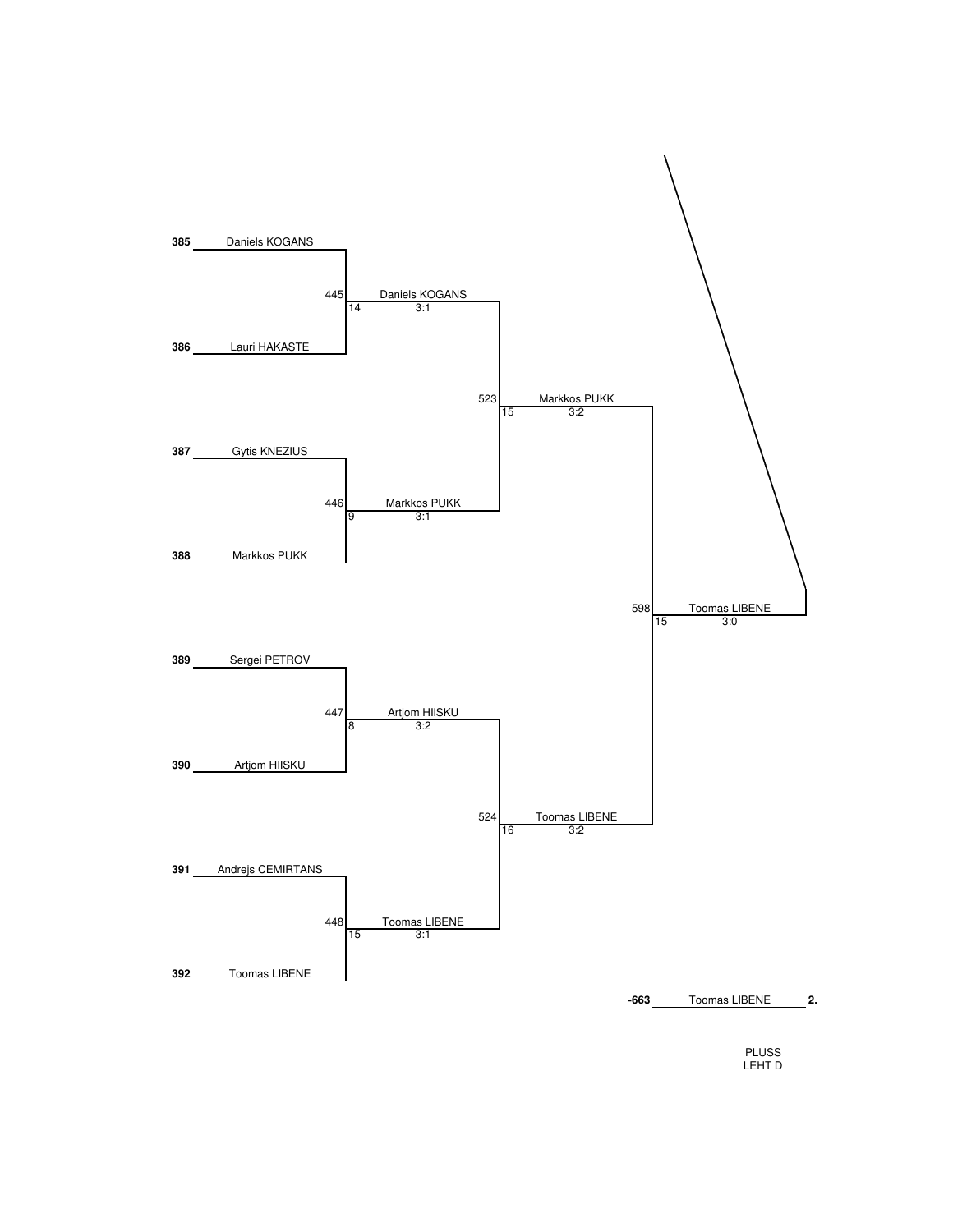

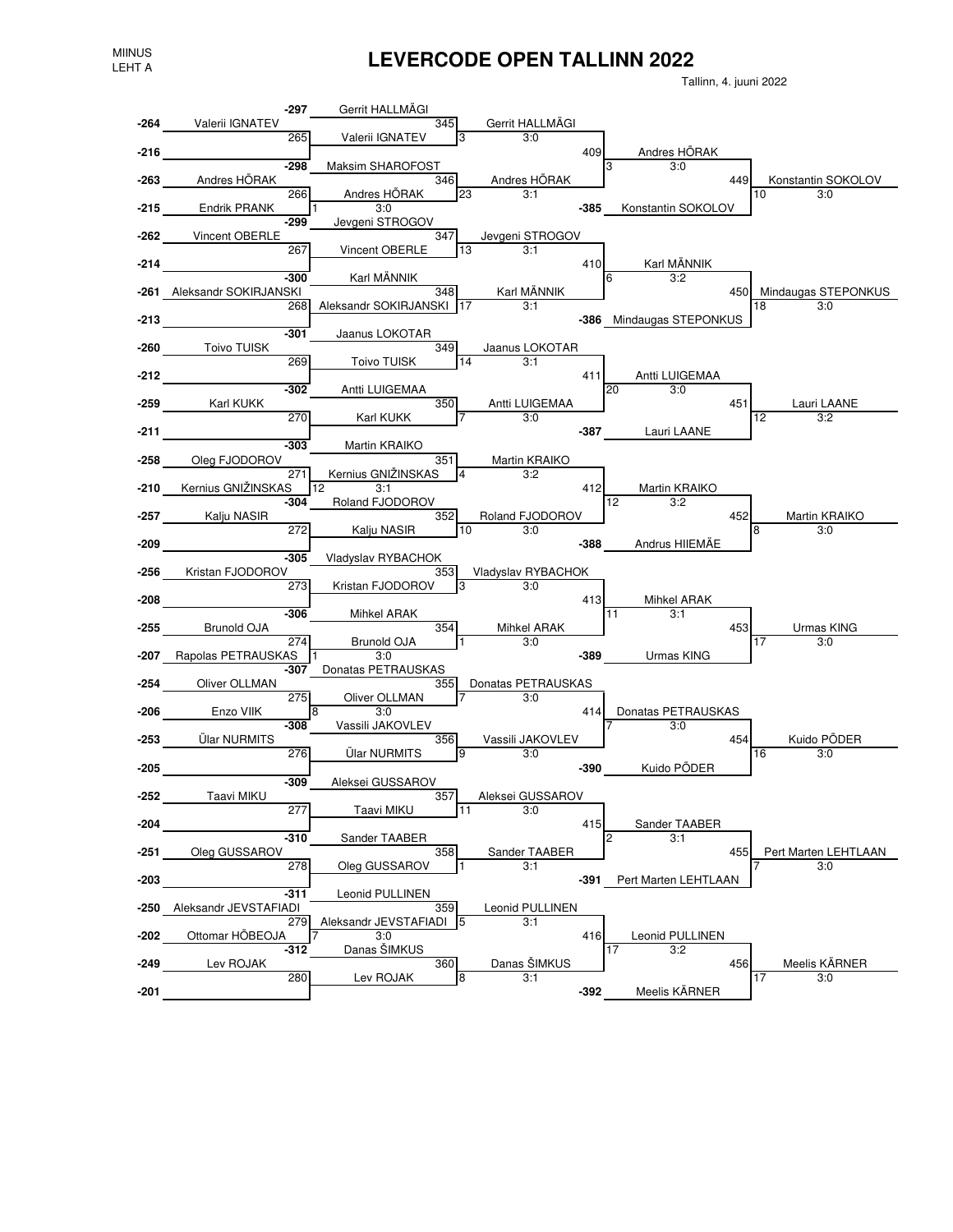## MIINUS **LEVERCODE OPEN TALLINN 2022**

Tallinn, 4. juuni 2022



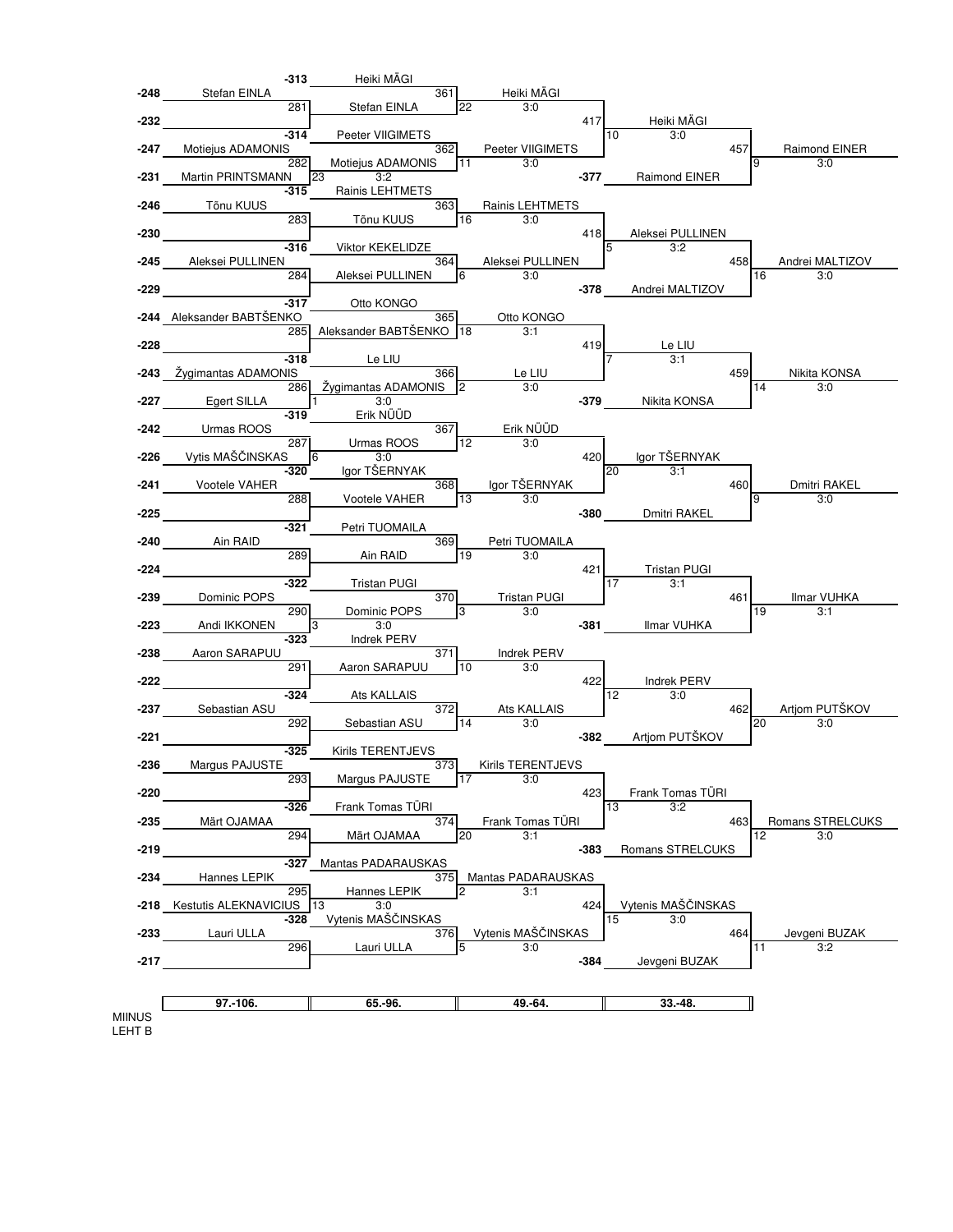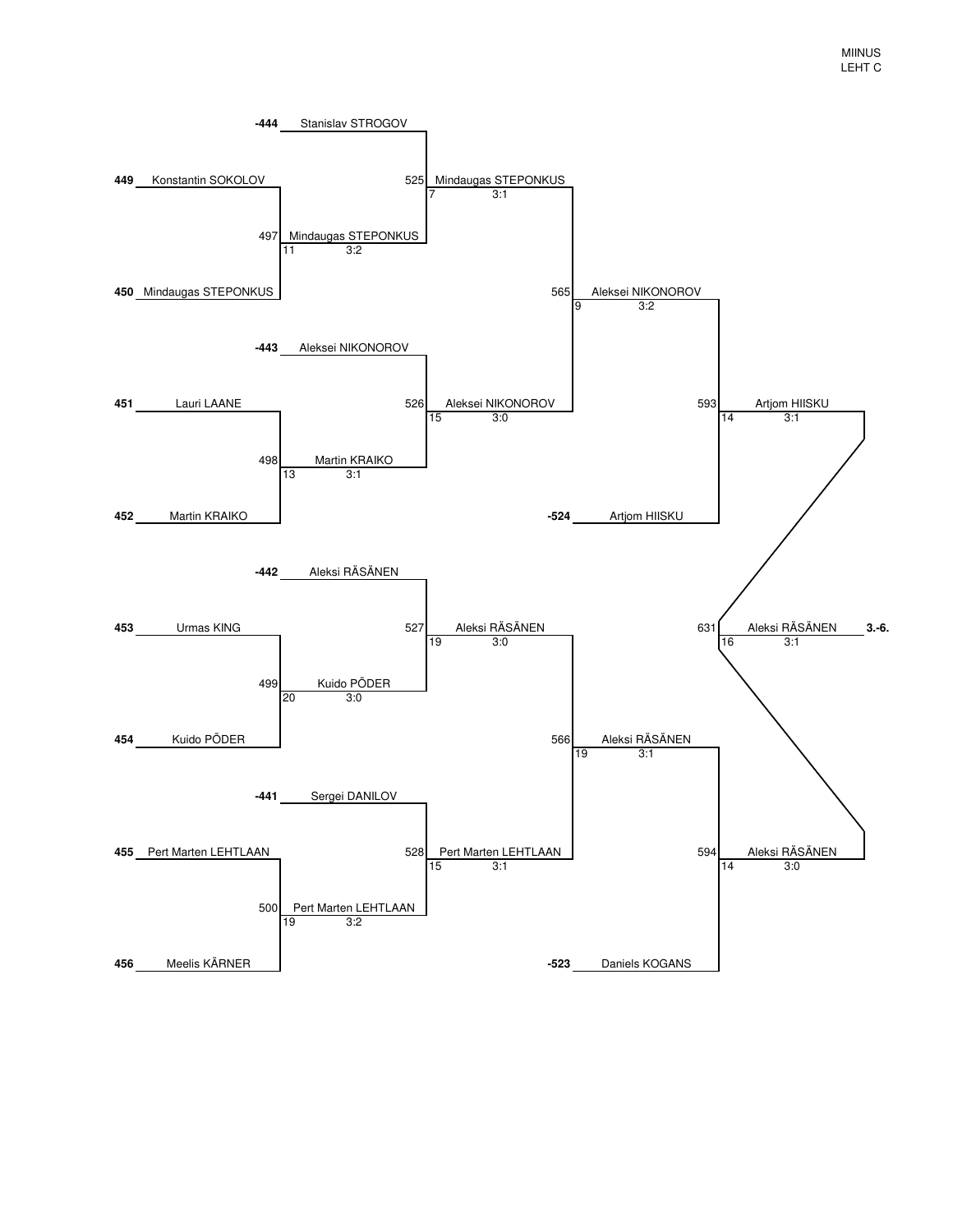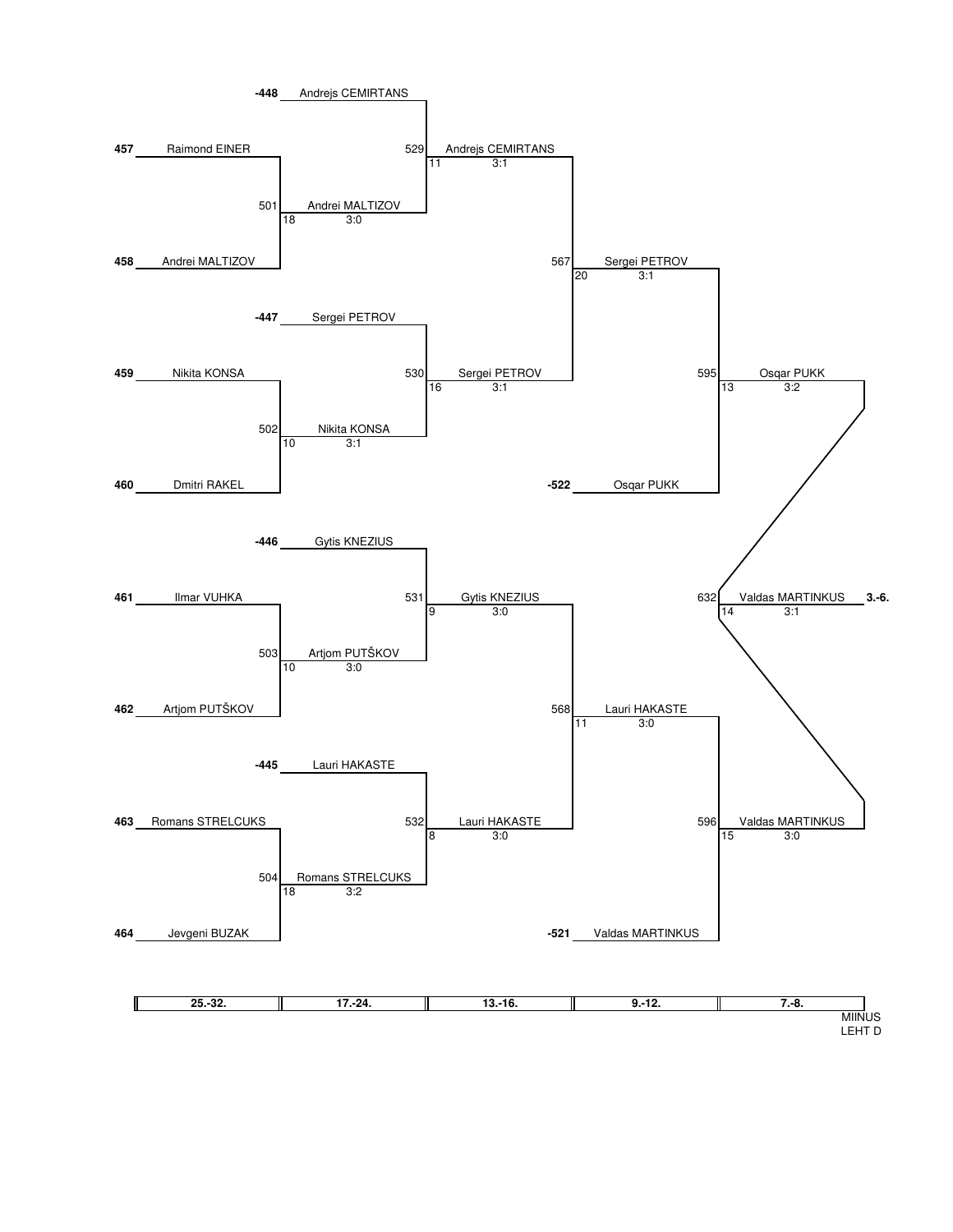

LEHT D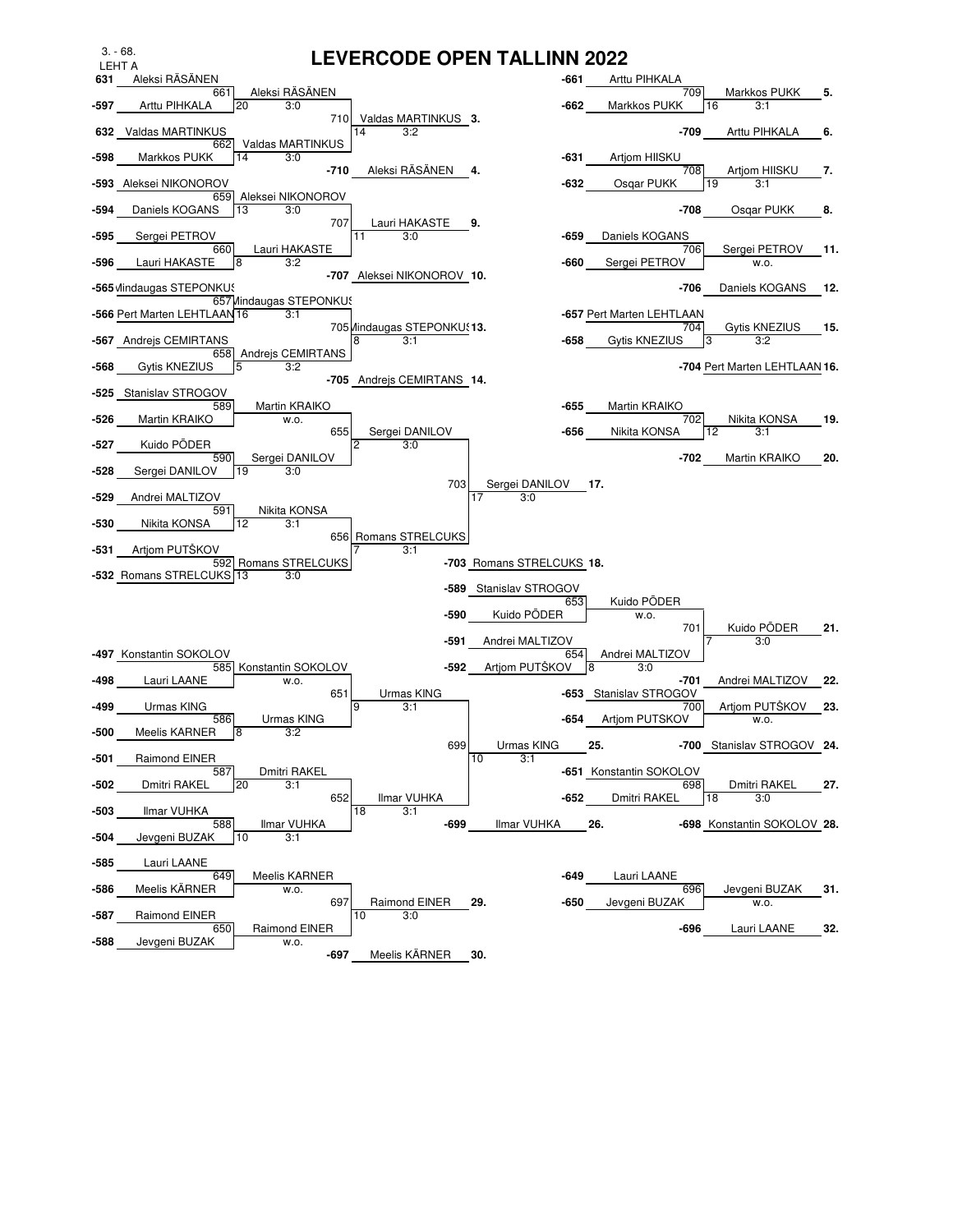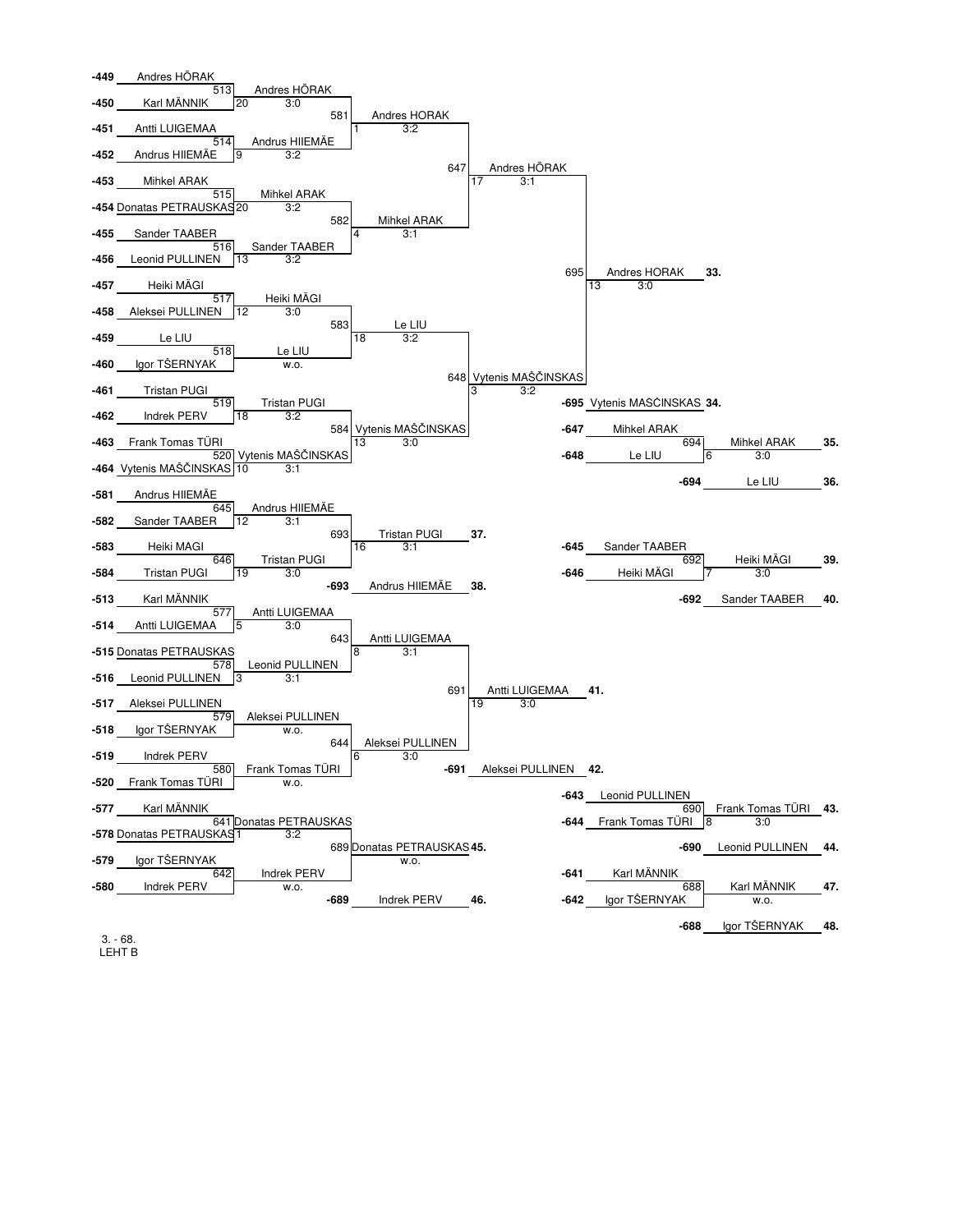

LEHT B 3. - 68.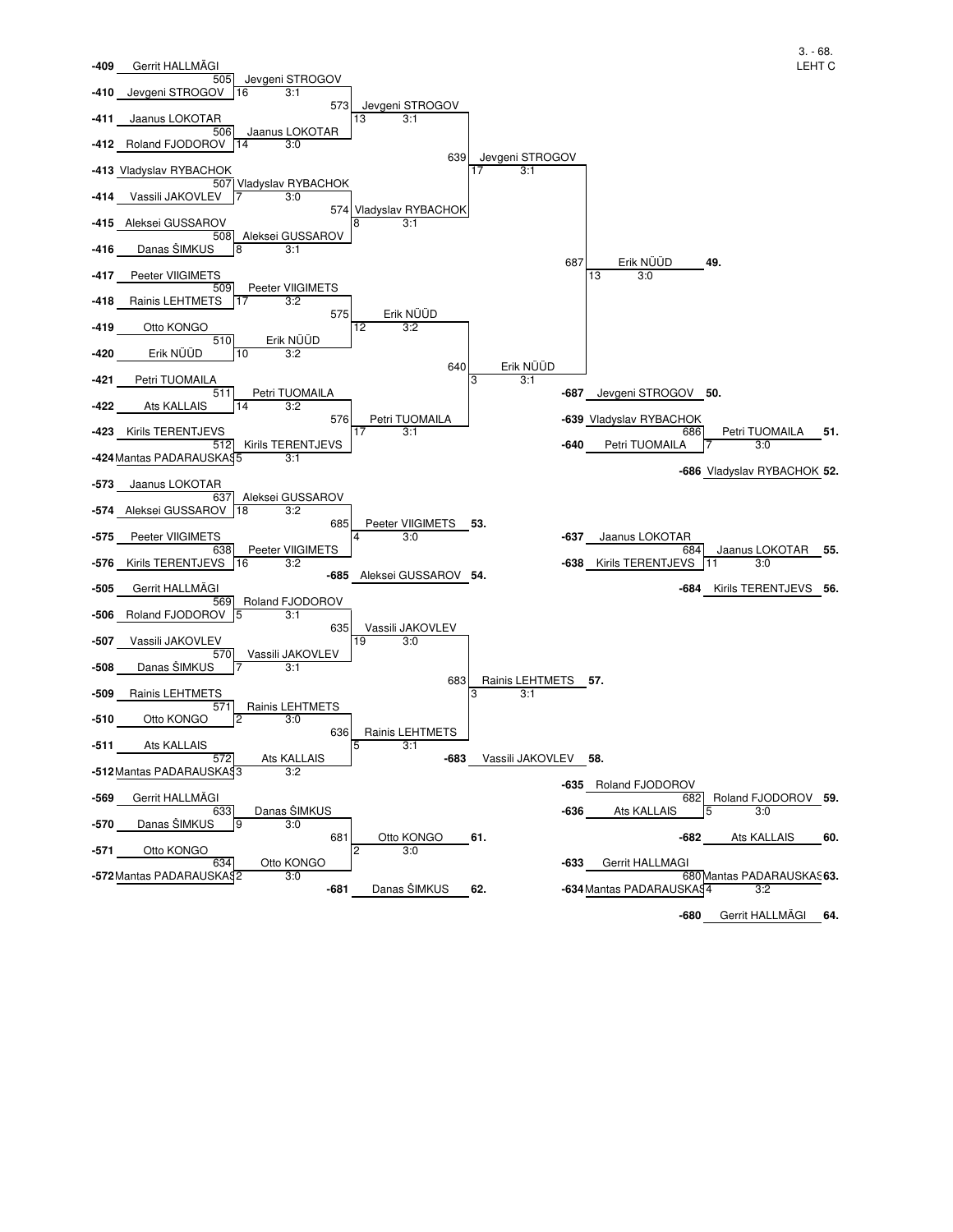

**-680 64.** Gerrit HALLMÄGI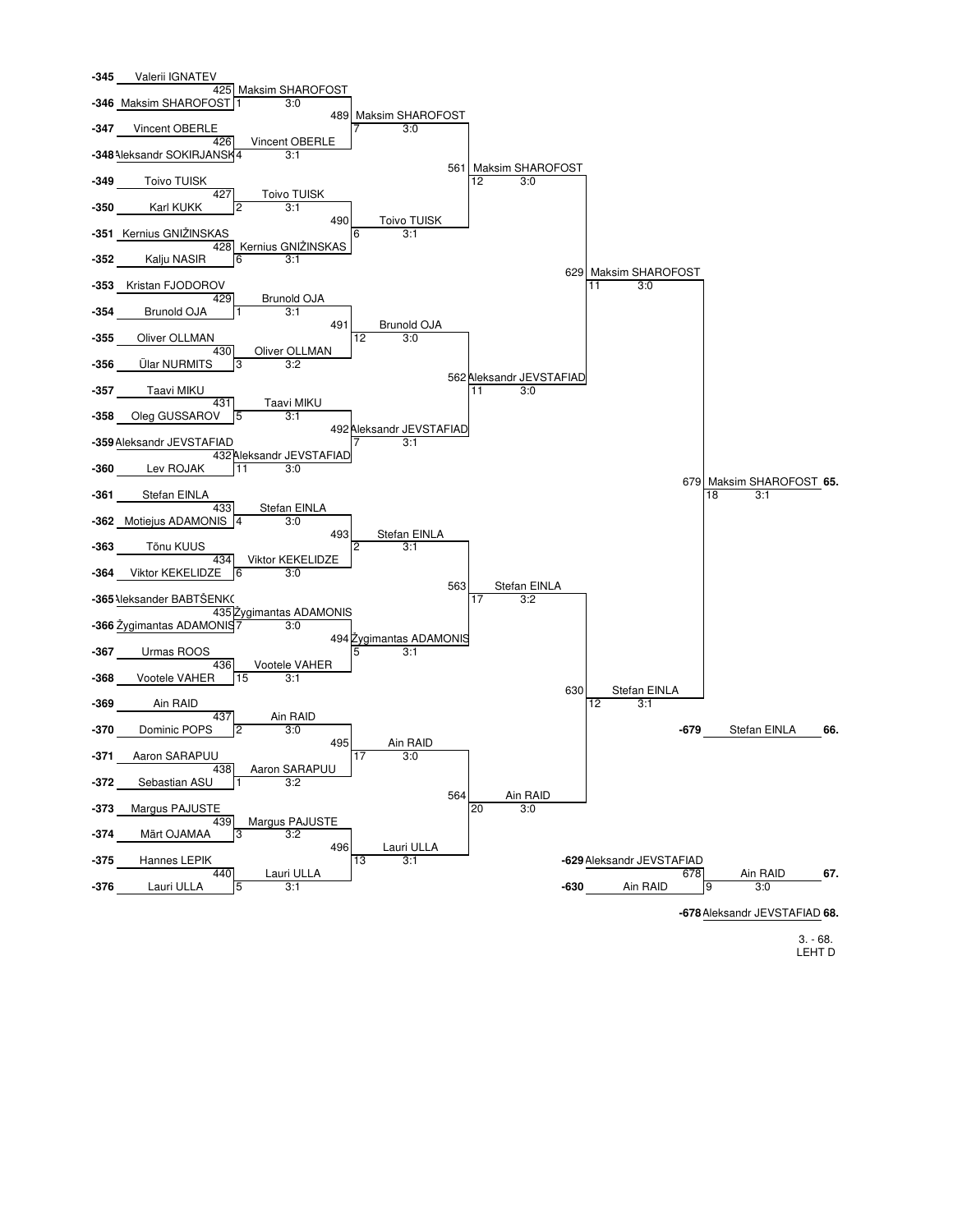

3. - 68. LEHT D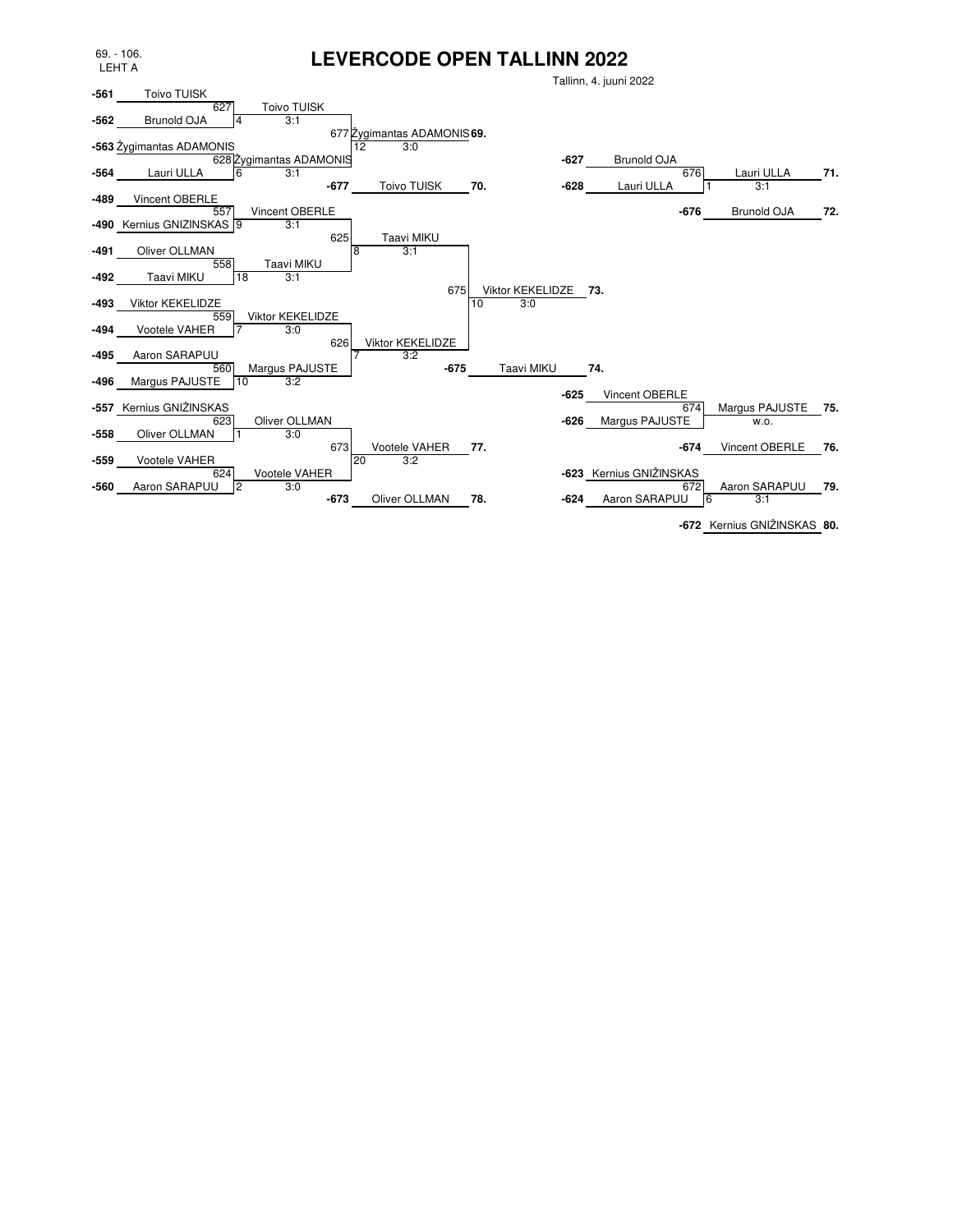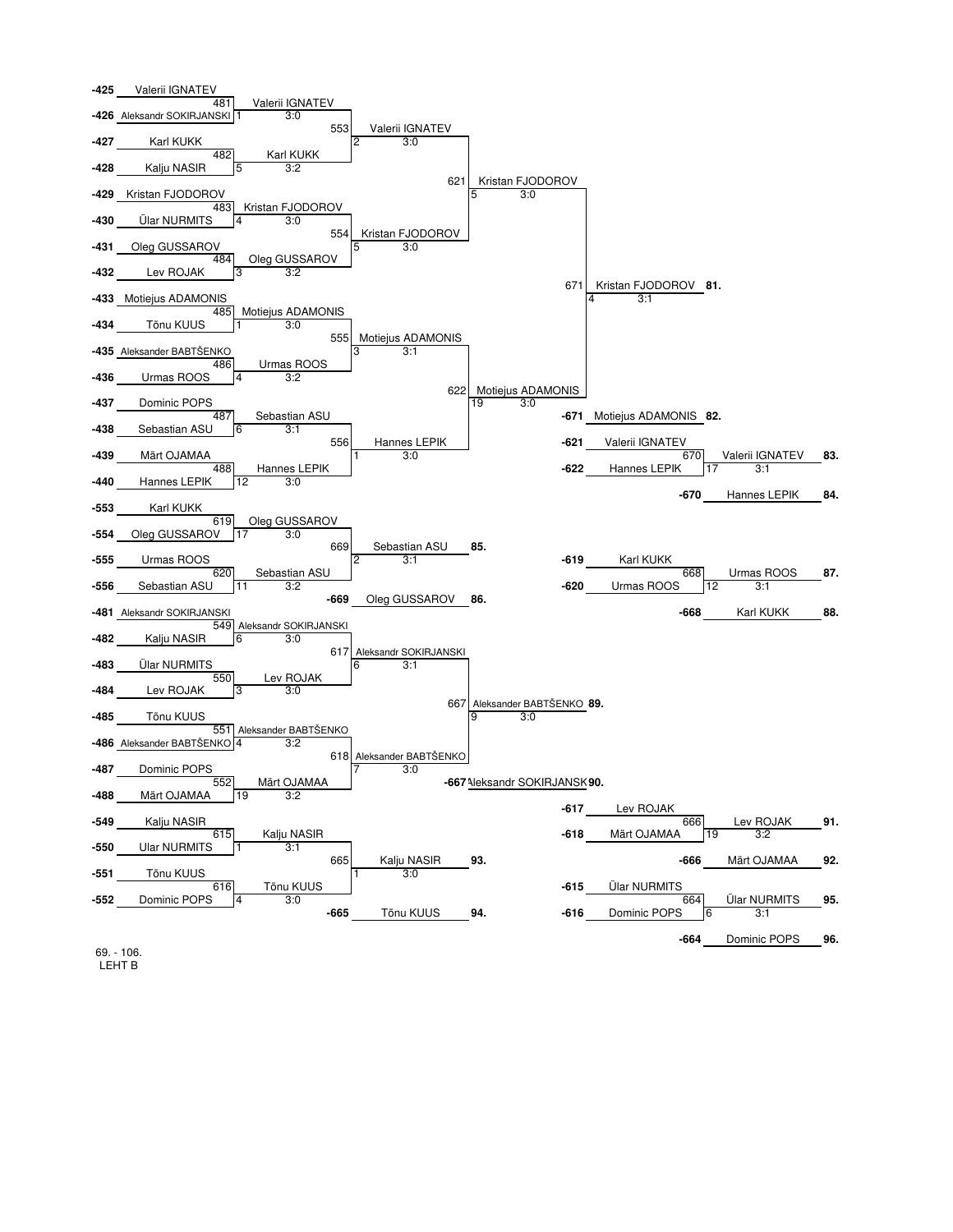

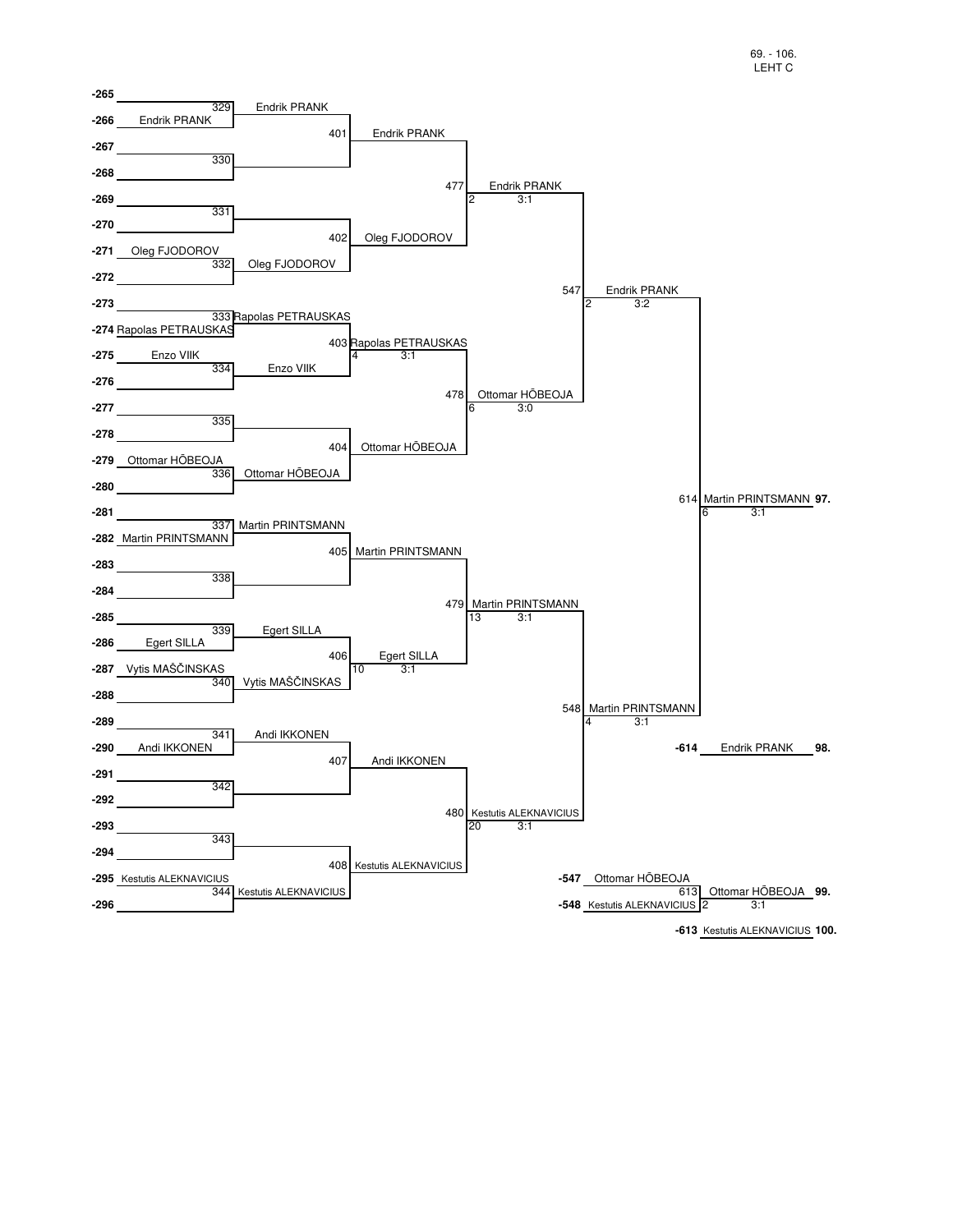